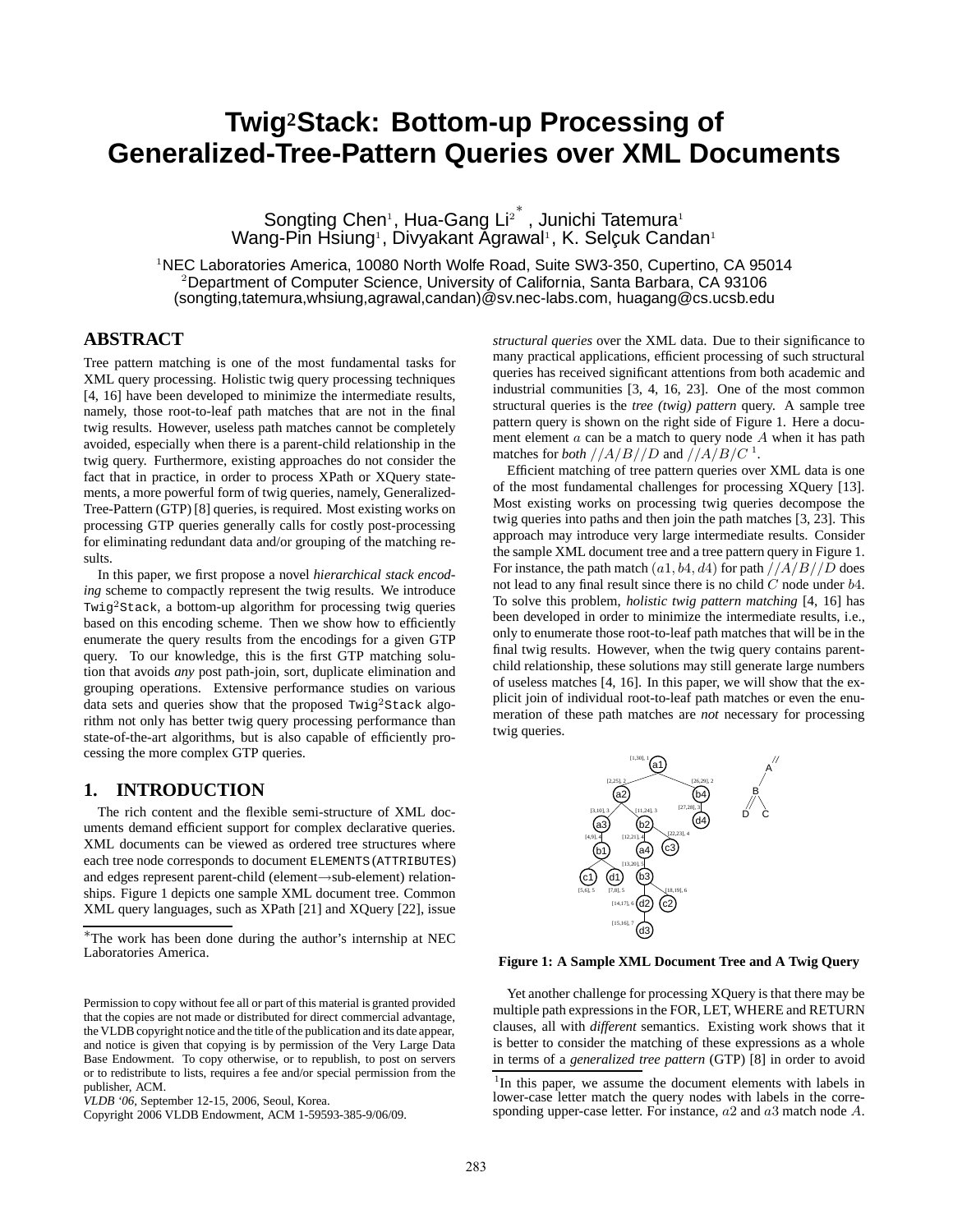# **Twig2Stack: Bottom-up Processing of Generalized-Tree-Pattern Queries over XML Documents**

Songting Chen<sup>1</sup>, Hua-Gang Li<sup>2<sup>\*</sup>, Junichi Tatemura<sup>1</sup></sup> Wang-Pin Hsiung<sup>ı</sup>, Divyakant Agrawal<sup>ı</sup>, K. Selçuk Candan<sup>ı</sup>

<sup>1</sup>NEC Laboratories America, 10080 North Wolfe Road, Suite SW3-350, Cupertino, CA 95014 <sup>2</sup>Department of Computer Science, University of California, Santa Barbara, CA 93106 (songting,tatemura,whsiung,agrawal,candan)@sv.nec-labs.com, huagang@cs.ucsb.edu

# **ABSTRACT**

Tree pattern matching is one of the most fundamental tasks for XML query processing. Holistic twig query processing techniques [4, 16] have been developed to minimize the intermediate results, namely, those root-to-leaf path matches that are not in the final twig results. However, useless path matches cannot be completely avoided, especially when there is a parent-child relationship in the twig query. Furthermore, existing approaches do not consider the fact that in practice, in order to process XPath or XQuery statements, a more powerful form of twig queries, namely, Generalized-Tree-Pattern (GTP) [8] queries, is required. Most existing works on processing GTP queries generally calls for costly post-processing for eliminating redundant data and/or grouping of the matching results.

In this paper, we first propose a novel *hierarchical stack encoding* scheme to compactly represent the twig results. We introduce Twig<sup>2</sup>Stack, a bottom-up algorithm for processing twig queries based on this encoding scheme. Then we show how to efficiently enumerate the query results from the encodings for a given GTP query. To our knowledge, this is the first GTP matching solution that avoids *any* post path-join, sort, duplicate elimination and grouping operations. Extensive performance studies on various data sets and queries show that the proposed  $Twig<sup>2</sup>Stack algorithm$ rithm not only has better twig query processing performance than state-of-the-art algorithms, but is also capable of efficiently processing the more complex GTP queries.

# **1. INTRODUCTION**

The rich content and the flexible semi-structure of XML documents demand efficient support for complex declarative queries. XML documents can be viewed as ordered tree structures where each tree node corresponds to document ELEMENTS (ATTRIBUTES) and edges represent parent-child (element→sub-element) relationships. Figure 1 depicts one sample XML document tree. Common XML query languages, such as XPath [21] and XQuery [22], issue *structural queries* over the XML data. Due to their significance to many practical applications, efficient processing of such structural queries has received significant attentions from both academic and industrial communities [3, 4, 16, 23]. One of the most common structural queries is the *tree (twig) pattern* query. A sample tree pattern query is shown on the right side of Figure 1. Here a document element  $a$  can be a match to query node  $A$  when it has path matches for *both*  $//A/B//D$  and  $//A/B/C$ <sup>1</sup>.

Efficient matching of tree pattern queries over XML data is one of the most fundamental challenges for processing XQuery [13]. Most existing works on processing twig queries decompose the twig queries into paths and then join the path matches [3, 23]. This approach may introduce very large intermediate results. Consider the sample XML document tree and a tree pattern query in Figure 1. For instance, the path match  $(a1, b4, d4)$  for path  $//A/B//D$  does not lead to any final result since there is no child C node under b4. To solve this problem, *holistic twig pattern matching* [4, 16] has been developed in order to minimize the intermediate results, i.e., only to enumerate those root-to-leaf path matches that will be in the final twig results. However, when the twig query contains parentchild relationship, these solutions may still generate large numbers of useless matches [4, 16]. In this paper, we will show that the explicit join of individual root-to-leaf path matches or even the enumeration of these path matches are *not* necessary for processing twig queries.



**Figure 1: A Sample XML Document Tree and A Twig Query**

Yet another challenge for processing XQuery is that there may be multiple path expressions in the FOR, LET, WHERE and RETURN clauses, all with *different* semantics. Existing work shows that it is better to consider the matching of these expressions as a whole in terms of a *generalized tree pattern* (GTP) [8] in order to avoid

<sup>∗</sup>The work has been done during the author's internship at NEC Laboratories America.

Permission to copy without fee all or part of this material is granted provided that the copies are not made or distributed for direct commercial advantage, the VLDB copyright notice and the title of the publication and its date appear, and notice is given that copying is by permission of the Very Large Data Base Endowment. To copy otherwise, or to republish, to post on servers or to redistribute to lists, requires a fee and/or special permission from the publisher, ACM.

*VLDB '06,* September 12-15, 2006, Seoul, Korea.

Copyright 2006 VLDB Endowment, ACM 1-59593-385-9/06/09.

<sup>&</sup>lt;sup>1</sup>In this paper, we assume the document elements with labels in lower-case letter match the query nodes with labels in the corresponding upper-case letter. For instance, a2 and a3 match node A.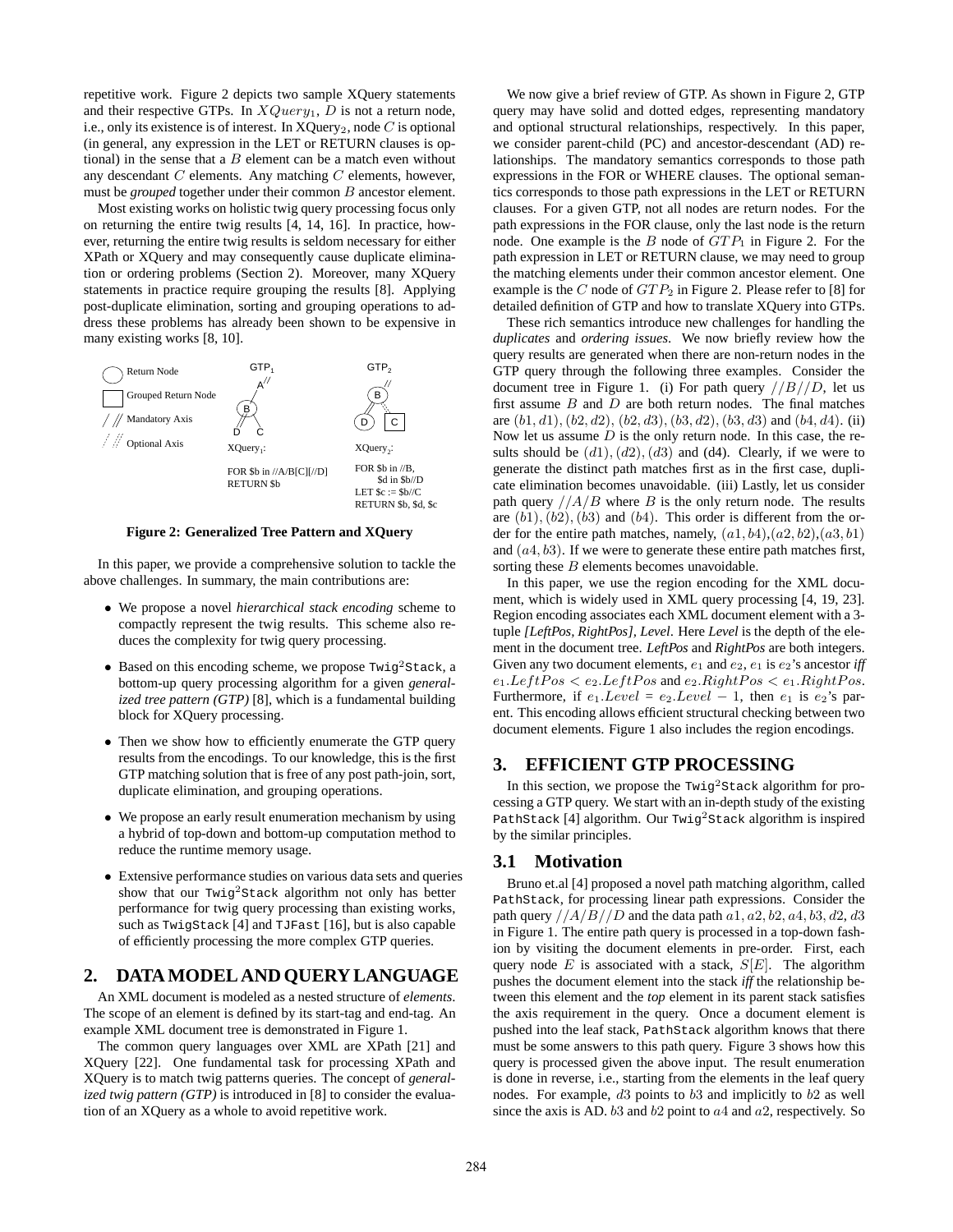repetitive work. Figure 2 depicts two sample XQuery statements and their respective GTPs. In  $XQuery_1$ , D is not a return node, i.e., only its existence is of interest. In  $XQuery_2$ , node C is optional (in general, any expression in the LET or RETURN clauses is optional) in the sense that a  $B$  element can be a match even without any descendant  $C$  elements. Any matching  $C$  elements, however, must be *grouped* together under their common B ancestor element.

Most existing works on holistic twig query processing focus only on returning the entire twig results [4, 14, 16]. In practice, however, returning the entire twig results is seldom necessary for either XPath or XQuery and may consequently cause duplicate elimination or ordering problems (Section 2). Moreover, many XQuery statements in practice require grouping the results [8]. Applying post-duplicate elimination, sorting and grouping operations to address these problems has already been shown to be expensive in many existing works [8, 10].



**Figure 2: Generalized Tree Pattern and XQuery**

In this paper, we provide a comprehensive solution to tackle the above challenges. In summary, the main contributions are:

- We propose a novel *hierarchical stack encoding* scheme to compactly represent the twig results. This scheme also reduces the complexity for twig query processing.
- Based on this encoding scheme, we propose  $Twig<sup>2</sup>Stack, a$ bottom-up query processing algorithm for a given *generalized tree pattern (GTP)* [8], which is a fundamental building block for XQuery processing.
- Then we show how to efficiently enumerate the GTP query results from the encodings. To our knowledge, this is the first GTP matching solution that is free of any post path-join, sort, duplicate elimination, and grouping operations.
- We propose an early result enumeration mechanism by using a hybrid of top-down and bottom-up computation method to reduce the runtime memory usage.
- Extensive performance studies on various data sets and queries show that our Twig<sup>2</sup>Stack algorithm not only has better performance for twig query processing than existing works, such as TwigStack [4] and TJFast [16], but is also capable of efficiently processing the more complex GTP queries.

# **2. DATA MODEL AND QUERY LANGUAGE**

An XML document is modeled as a nested structure of *elements*. The scope of an element is defined by its start-tag and end-tag. An example XML document tree is demonstrated in Figure 1.

The common query languages over XML are XPath [21] and XQuery [22]. One fundamental task for processing XPath and XQuery is to match twig patterns queries. The concept of *generalized twig pattern (GTP)* is introduced in [8] to consider the evaluation of an XQuery as a whole to avoid repetitive work.

We now give a brief review of GTP. As shown in Figure 2, GTP query may have solid and dotted edges, representing mandatory and optional structural relationships, respectively. In this paper, we consider parent-child (PC) and ancestor-descendant (AD) relationships. The mandatory semantics corresponds to those path expressions in the FOR or WHERE clauses. The optional semantics corresponds to those path expressions in the LET or RETURN clauses. For a given GTP, not all nodes are return nodes. For the path expressions in the FOR clause, only the last node is the return node. One example is the B node of  $GTP_1$  in Figure 2. For the path expression in LET or RETURN clause, we may need to group the matching elements under their common ancestor element. One example is the  $C$  node of  $GTP_2$  in Figure 2. Please refer to [8] for detailed definition of GTP and how to translate XQuery into GTPs.

These rich semantics introduce new challenges for handling the *duplicates* and *ordering issues*. We now briefly review how the query results are generated when there are non-return nodes in the GTP query through the following three examples. Consider the document tree in Figure 1. (i) For path query  $//B/D$ , let us first assume  $B$  and  $D$  are both return nodes. The final matches are  $(b1, d1), (b2, d2), (b2, d3), (b3, d2), (b3, d3)$  and  $(b4, d4)$ . (ii) Now let us assume  $D$  is the only return node. In this case, the results should be  $(d1)$ ,  $(d2)$ ,  $(d3)$  and  $(d4)$ . Clearly, if we were to generate the distinct path matches first as in the first case, duplicate elimination becomes unavoidable. (iii) Lastly, let us consider path query  $//A/B$  where B is the only return node. The results are  $(b1)$ ,  $(b2)$ ,  $(b3)$  and  $(b4)$ . This order is different from the order for the entire path matches, namely,  $(a1, b4)$ ,  $(a2, b2)$ ,  $(a3, b1)$ and  $(a4, b3)$ . If we were to generate these entire path matches first, sorting these B elements becomes unavoidable.

In this paper, we use the region encoding for the XML document, which is widely used in XML query processing [4, 19, 23]. Region encoding associates each XML document element with a 3 tuple *[LeftPos, RightPos], Level*. Here *Level* is the depth of the element in the document tree. *LeftPos* and *RightPos* are both integers. Given any two document elements,  $e_1$  and  $e_2$ ,  $e_1$  is  $e_2$ 's ancestor *iff*  $e_1. LeftPos < e_2. LeftPos$  and  $e_2. RightPos < e_1. RightPos$ . Furthermore, if  $e_1.Level = e_2. Level - 1$ , then  $e_1$  is  $e_2$ 's parent. This encoding allows efficient structural checking between two document elements. Figure 1 also includes the region encodings.

# **3. EFFICIENT GTP PROCESSING**

In this section, we propose the Twig<sup>2</sup>Stack algorithm for processing a GTP query. We start with an in-depth study of the existing PathStack [4] algorithm. Our Twig<sup>2</sup>Stack algorithm is inspired by the similar principles.

# **3.1 Motivation**

Bruno et.al [4] proposed a novel path matching algorithm, called PathStack, for processing linear path expressions. Consider the path query  $//A/B//D$  and the data path  $a1, a2, b2, a4, b3, d2, d3$ in Figure 1. The entire path query is processed in a top-down fashion by visiting the document elements in pre-order. First, each query node  $E$  is associated with a stack,  $S[E]$ . The algorithm pushes the document element into the stack *iff* the relationship between this element and the *top* element in its parent stack satisfies the axis requirement in the query. Once a document element is pushed into the leaf stack, PathStack algorithm knows that there must be some answers to this path query. Figure 3 shows how this query is processed given the above input. The result enumeration is done in reverse, i.e., starting from the elements in the leaf query nodes. For example, d3 points to b3 and implicitly to b2 as well since the axis is AD.  $b3$  and  $b2$  point to  $a4$  and  $a2$ , respectively. So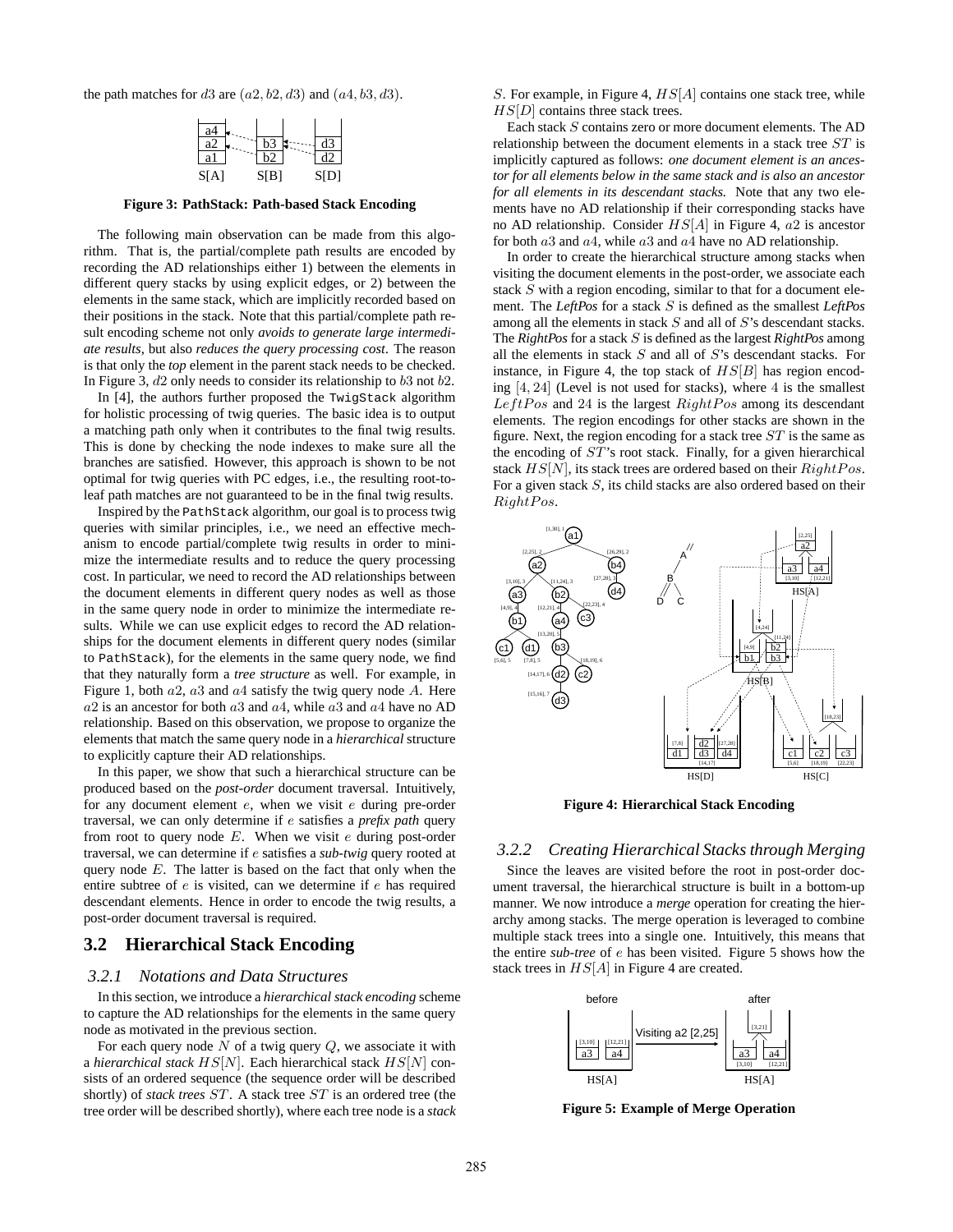the path matches for  $d3$  are  $(a2, b2, d3)$  and  $(a4, b3, d3)$ .

| a4   |                               |      |
|------|-------------------------------|------|
| я    |                               |      |
| яl   |                               |      |
| S[A] | S <sub>I</sub> B <sub>1</sub> | S[D] |

**Figure 3: PathStack: Path-based Stack Encoding**

The following main observation can be made from this algorithm. That is, the partial/complete path results are encoded by recording the AD relationships either 1) between the elements in different query stacks by using explicit edges, or 2) between the elements in the same stack, which are implicitly recorded based on their positions in the stack. Note that this partial/complete path result encoding scheme not only *avoids to generate large intermediate results*, but also *reduces the query processing cost*. The reason is that only the *top* element in the parent stack needs to be checked. In Figure 3,  $d2$  only needs to consider its relationship to  $b3$  not  $b2$ .

In [4], the authors further proposed the TwigStack algorithm for holistic processing of twig queries. The basic idea is to output a matching path only when it contributes to the final twig results. This is done by checking the node indexes to make sure all the branches are satisfied. However, this approach is shown to be not optimal for twig queries with PC edges, i.e., the resulting root-toleaf path matches are not guaranteed to be in the final twig results.

Inspired by the PathStack algorithm, our goal is to process twig queries with similar principles, i.e., we need an effective mechanism to encode partial/complete twig results in order to minimize the intermediate results and to reduce the query processing cost. In particular, we need to record the AD relationships between the document elements in different query nodes as well as those in the same query node in order to minimize the intermediate results. While we can use explicit edges to record the AD relationships for the document elements in different query nodes (similar to PathStack), for the elements in the same query node, we find that they naturally form a *tree structure* as well. For example, in Figure 1, both  $a2$ ,  $a3$  and  $a4$  satisfy the twig query node A. Here  $a2$  is an ancestor for both  $a3$  and  $a4$ , while  $a3$  and  $a4$  have no AD relationship. Based on this observation, we propose to organize the elements that match the same query node in a *hierarchical* structure to explicitly capture their AD relationships.

In this paper, we show that such a hierarchical structure can be produced based on the *post-order* document traversal. Intuitively, for any document element e, when we visit e during pre-order traversal, we can only determine if e satisfies a *prefix path* query from root to query node  $E$ . When we visit  $e$  during post-order traversal, we can determine if e satisfies a *sub-twig* query rooted at query node  $E$ . The latter is based on the fact that only when the entire subtree of e is visited, can we determine if e has required descendant elements. Hence in order to encode the twig results, a post-order document traversal is required.

### **3.2 Hierarchical Stack Encoding**

### *3.2.1 Notations and Data Structures*

In this section, we introduce a *hierarchical stack encoding* scheme to capture the AD relationships for the elements in the same query node as motivated in the previous section.

For each query node  $N$  of a twig query  $Q$ , we associate it with a *hierarchical stack* HS[N]. Each hierarchical stack HS[N] consists of an ordered sequence (the sequence order will be described shortly) of *stack trees* ST. A stack tree ST is an ordered tree (the tree order will be described shortly), where each tree node is a *stack*

S. For example, in Figure 4,  $HS[A]$  contains one stack tree, while  $HS[D]$  contains three stack trees.

Each stack S contains zero or more document elements. The AD relationship between the document elements in a stack tree ST is implicitly captured as follows: *one document element is an ancestor for all elements below in the same stack and is also an ancestor for all elements in its descendant stacks.* Note that any two elements have no AD relationship if their corresponding stacks have no AD relationship. Consider  $HS[A]$  in Figure 4,  $a2$  is ancestor for both  $a3$  and  $a4$ , while  $a3$  and  $a4$  have no AD relationship.

In order to create the hierarchical structure among stacks when visiting the document elements in the post-order, we associate each stack  $S$  with a region encoding, similar to that for a document element. The *LeftPos* for a stack S is defined as the smallest *LeftPos* among all the elements in stack S and all of S's descendant stacks. The *RightPos* for a stack S is defined as the largest *RightPos* among all the elements in stack S and all of S's descendant stacks. For instance, in Figure 4, the top stack of  $HS[B]$  has region encoding  $[4, 24]$  (Level is not used for stacks), where 4 is the smallest LeftPos and 24 is the largest RightPos among its descendant elements. The region encodings for other stacks are shown in the figure. Next, the region encoding for a stack tree  $ST$  is the same as the encoding of ST's root stack. Finally, for a given hierarchical stack  $HS[N]$ , its stack trees are ordered based on their  $RightPos$ . For a given stack S, its child stacks are also ordered based on their RightPos.



**Figure 4: Hierarchical Stack Encoding**

### *3.2.2 Creating Hierarchical Stacks through Merging*

Since the leaves are visited before the root in post-order document traversal, the hierarchical structure is built in a bottom-up manner. We now introduce a *merge* operation for creating the hierarchy among stacks. The merge operation is leveraged to combine multiple stack trees into a single one. Intuitively, this means that the entire *sub-tree* of e has been visited. Figure 5 shows how the stack trees in  $HS[A]$  in Figure 4 are created.



**Figure 5: Example of Merge Operation**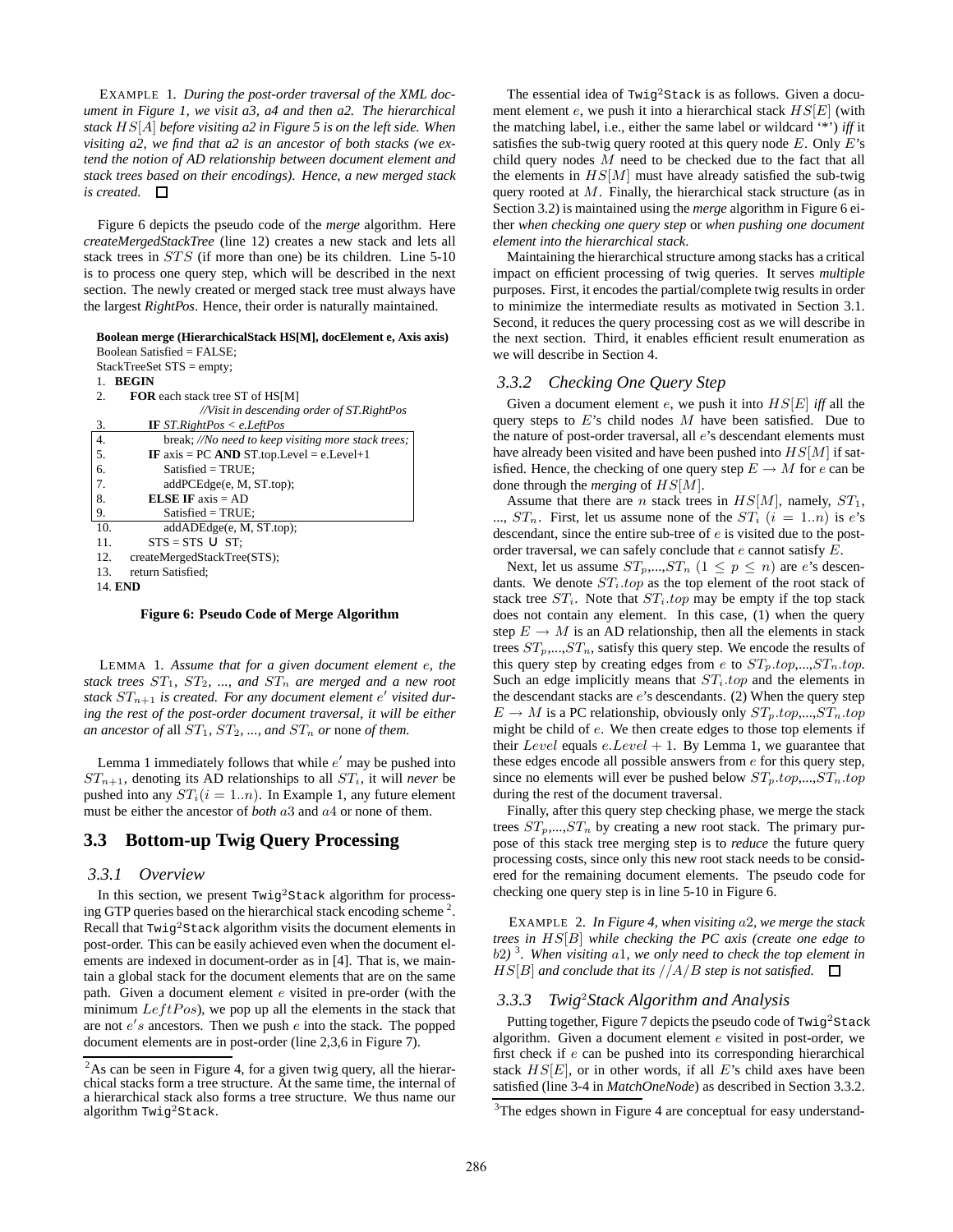EXAMPLE 1. *During the post-order traversal of the XML document in Figure 1, we visit a3, a4 and then a2. The hierarchical stack* HS[A] *before visiting a2 in Figure 5 is on the left side. When visiting a2, we find that a2 is an ancestor of both stacks (we extend the notion of AD relationship between document element and stack trees based on their encodings). Hence, a new merged stack is created.*

Figure 6 depicts the pseudo code of the *merge* algorithm. Here *createMergedStackTree* (line 12) creates a new stack and lets all stack trees in STS (if more than one) be its children. Line 5-10 is to process one query step, which will be described in the next section. The newly created or merged stack tree must always have the largest *RightPos*. Hence, their order is naturally maintained.

#### **Boolean merge (HierarchicalStack HS[M], docElement e, Axis axis)** Boolean Satisfied = FALSE;

| $StackTreeSet STS = empty;$                               |  |  |  |  |  |  |  |
|-----------------------------------------------------------|--|--|--|--|--|--|--|
| <b>BEGIN</b><br>1.                                        |  |  |  |  |  |  |  |
| <b>FOR</b> each stack tree ST of HS[M]<br>2.              |  |  |  |  |  |  |  |
| //Visit in descending order of ST. RightPos               |  |  |  |  |  |  |  |
| <b>IF</b> ST. RightPos < e. LeftPos<br>3.                 |  |  |  |  |  |  |  |
| 4.<br>break; //No need to keep visiting more stack trees; |  |  |  |  |  |  |  |
| 5.<br>IF $axis = PC$ AND ST.top.Level = e.Level+1         |  |  |  |  |  |  |  |
| б.<br>$Satisfied = TRUE:$                                 |  |  |  |  |  |  |  |
| 7.<br>addPCEdge(e, M, ST.top);                            |  |  |  |  |  |  |  |
| <b>ELSE IF</b> $axis = AD$<br>8.                          |  |  |  |  |  |  |  |
| 9.<br>$Satisfied = TRUE;$                                 |  |  |  |  |  |  |  |
| 10.<br>addADEdge(e, M, ST.top);                           |  |  |  |  |  |  |  |
| 11.<br>$STS = STS \cup ST$                                |  |  |  |  |  |  |  |
| 12.<br>createMergedStackTree(STS);                        |  |  |  |  |  |  |  |
| 13.<br>return Satisfied:                                  |  |  |  |  |  |  |  |
| 14. END                                                   |  |  |  |  |  |  |  |

**Figure 6: Pseudo Code of Merge Algorithm**

LEMMA 1. *Assume that for a given document element* e*, the* stack trees  $ST_1$ ,  $ST_2$ , ..., and  $ST_n$  are merged and a new root *stack*  $ST_{n+1}$  *is created. For any document element e' visited during the rest of the post-order document traversal, it will be either an ancestor of all*  $ST_1$ ,  $ST_2$ , ..., and  $ST_n$  *or* none *of them.* 

Lemma 1 immediately follows that while  $e'$  may be pushed into  $ST_{n+1}$ , denoting its AD relationships to all  $ST_i$ , it will *never* be pushed into any  $ST_i(i = 1..n)$ . In Example 1, any future element must be either the ancestor of *both* a3 and a4 or none of them.

# **3.3 Bottom-up Twig Query Processing**

#### *3.3.1 Overview*

In this section, we present  $Twig<sup>2</sup>Stack algorithm for process$ ing GTP queries based on the hierarchical stack encoding scheme<sup>2</sup>. Recall that  $Twig<sup>2</sup>Stack algorithm visits the document elements in$ post-order. This can be easily achieved even when the document elements are indexed in document-order as in [4]. That is, we maintain a global stack for the document elements that are on the same path. Given a document element e visited in pre-order (with the minimum  $LeftPos$ ), we pop up all the elements in the stack that are not  $e's$  ancestors. Then we push  $e$  into the stack. The popped document elements are in post-order (line 2,3,6 in Figure 7).

The essential idea of Twig<sup>2</sup>Stack is as follows. Given a document element e, we push it into a hierarchical stack  $HS[E]$  (with the matching label, i.e., either the same label or wildcard '\*') *iff* it satisfies the sub-twig query rooted at this query node  $E$ . Only  $E$ 's child query nodes  $M$  need to be checked due to the fact that all the elements in  $HS[M]$  must have already satisfied the sub-twig query rooted at M. Finally, the hierarchical stack structure (as in Section 3.2) is maintained using the *merge* algorithm in Figure 6 either *when checking one query step* or *when pushing one document element into the hierarchical stack*.

Maintaining the hierarchical structure among stacks has a critical impact on efficient processing of twig queries. It serves *multiple* purposes. First, it encodes the partial/complete twig results in order to minimize the intermediate results as motivated in Section 3.1. Second, it reduces the query processing cost as we will describe in the next section. Third, it enables efficient result enumeration as we will describe in Section 4.

#### *3.3.2 Checking One Query Step*

Given a document element  $e$ , we push it into  $HS[E]$  *iff* all the query steps to  $E$ 's child nodes  $M$  have been satisfied. Due to the nature of post-order traversal, all e's descendant elements must have already been visited and have been pushed into  $HS[M]$  if satisfied. Hence, the checking of one query step  $E \to M$  for e can be done through the *merging* of HS[M].

Assume that there are *n* stack trees in  $HS[M]$ , namely,  $ST_1$ , ...,  $ST_n$ . First, let us assume none of the  $ST_i$   $(i = 1..n)$  is  $e$ 's descendant, since the entire sub-tree of e is visited due to the postorder traversal, we can safely conclude that e cannot satisfy E.

Next, let us assume  $ST_p,...,ST_n$   $(1 \leq p \leq n)$  are e's descendants. We denote  $ST_i-top$  as the top element of the root stack of stack tree  $ST_i$ . Note that  $ST_i-top$  may be empty if the top stack does not contain any element. In this case, (1) when the query step  $E \to M$  is an AD relationship, then all the elements in stack trees  $ST_p, ..., ST_n$ , satisfy this query step. We encode the results of this query step by creating edges from e to  $ST_p-top, ..., ST_n-top$ . Such an edge implicitly means that  $ST_i$  top and the elements in the descendant stacks are  $e$ 's descendants. (2) When the query step  $E \to M$  is a PC relationship, obviously only  $ST_n-top,...,ST_n-top$ might be child of e. We then create edges to those top elements if their Level equals  $e. Level + 1$ . By Lemma 1, we guarantee that these edges encode all possible answers from e for this query step, since no elements will ever be pushed below  $ST_p,top,...,ST_n,top$ during the rest of the document traversal.

Finally, after this query step checking phase, we merge the stack trees  $ST_p,...,ST_n$  by creating a new root stack. The primary purpose of this stack tree merging step is to *reduce* the future query processing costs, since only this new root stack needs to be considered for the remaining document elements. The pseudo code for checking one query step is in line 5-10 in Figure 6.

EXAMPLE 2. *In Figure 4, when visiting* a2*, we merge the stack trees in* HS[B] *while checking the PC axis (create one edge to* b2*)* 3 *. When visiting* a1*, we only need to check the top element in*  $HS[B]$  *and conclude that its*  $//A/B$  *step is not satisfied.*  $\square$ 

### *3.3.3 Twig*<sup>2</sup>*Stack Algorithm and Analysis*

Putting together, Figure 7 depicts the pseudo code of  $Twig<sup>2</sup>Stack$ algorithm. Given a document element  $e$  visited in post-order, we first check if e can be pushed into its corresponding hierarchical stack  $HS[E]$ , or in other words, if all E's child axes have been satisfied (line 3-4 in *MatchOneNode*) as described in Section 3.3.2.

 $2$ As can be seen in Figure 4, for a given twig query, all the hierarchical stacks form a tree structure. At the same time, the internal of a hierarchical stack also forms a tree structure. We thus name our algorithm Twig2Stack.

 $3$ The edges shown in Figure 4 are conceptual for easy understand-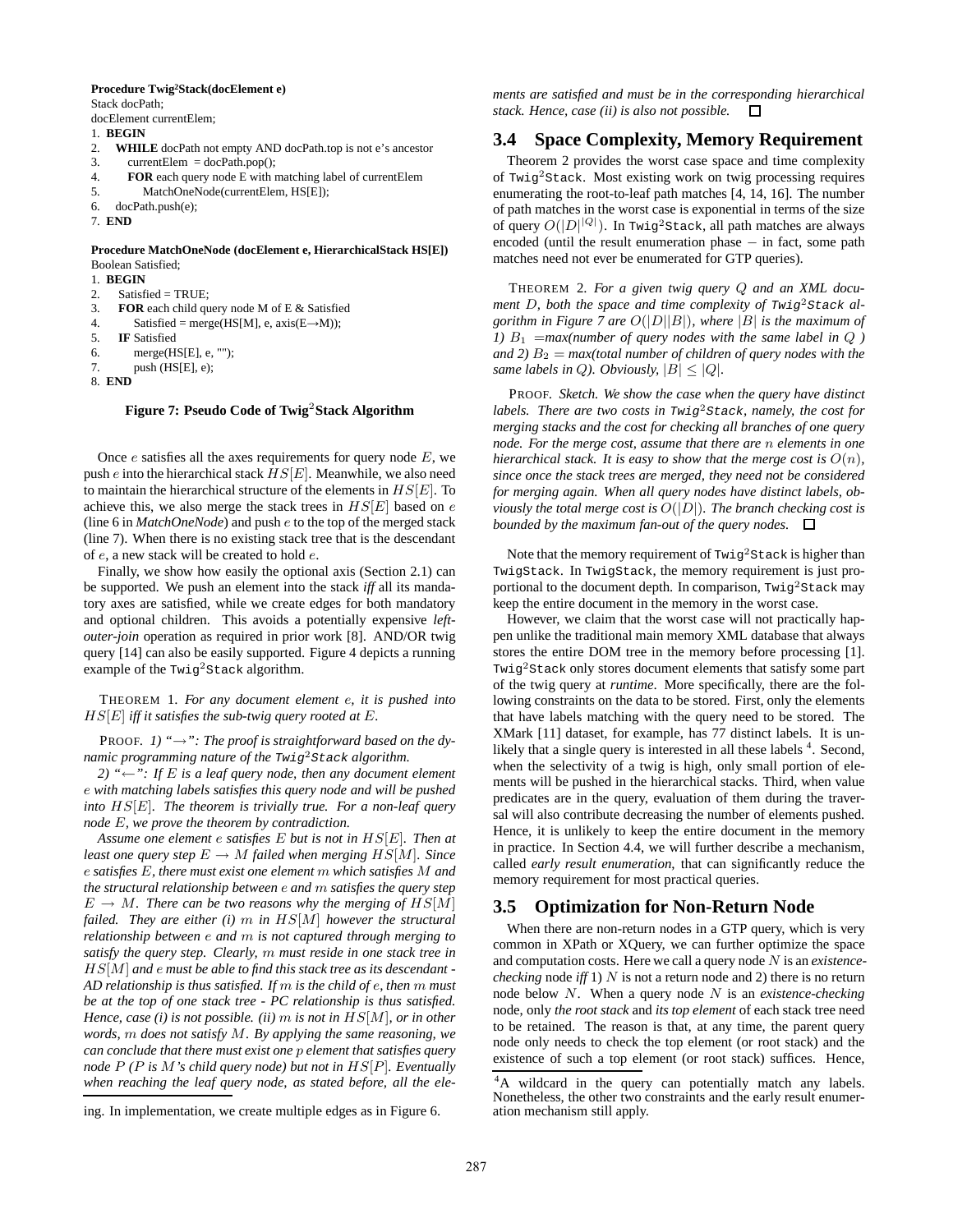### **Procedure Twig<sup>2</sup>Stack(docElement e)**

Stack docPath; docElement currentElem;

1. **BEGIN**

- 
- 2. **WHILE** docPath not empty AND docPath.top is not e's ancestor
- 3. currentElem = docPath.pop();<br> $\angle$  **FOR** each query node E with r
- 4. **FOR** each query node E with matching label of currentElem
- 5. MatchOneNode(currentElem, HS[E]);
- 6. docPath.push(e);
- 7. **END**

#### **Procedure MatchOneNode (docElement e, HierarchicalStack HS[E])** Boolean Satisfied;

1. **BEGIN**

- 2. Satisfied = TRUE;
- 3. **FOR** each child query node M of E & Satisfied
- 4. Satisfied = merge(HS[M], e,  $axis(E \rightarrow M)$ );
- 5. **IF** Satisfied
- 6. merge(HS[E], e, "");
- 7. push (HS[E], e);
- 8. **END**

#### **Figure 7: Pseudo Code of Twig**<sup>2</sup>**Stack Algorithm**

Once  $e$  satisfies all the axes requirements for query node  $E$ , we push  $e$  into the hierarchical stack  $HS[E]$ . Meanwhile, we also need to maintain the hierarchical structure of the elements in  $H S[E]$ . To achieve this, we also merge the stack trees in  $HS[E]$  based on  $e$ (line 6 in *MatchOneNode*) and push e to the top of the merged stack (line 7). When there is no existing stack tree that is the descendant of e, a new stack will be created to hold e.

Finally, we show how easily the optional axis (Section 2.1) can be supported. We push an element into the stack *iff* all its mandatory axes are satisfied, while we create edges for both mandatory and optional children. This avoids a potentially expensive *leftouter-join* operation as required in prior work [8]. AND/OR twig query [14] can also be easily supported. Figure 4 depicts a running example of the  $Twig<sup>2</sup>Stack algorithm.$ 

THEOREM 1. *For any document element* e*, it is pushed into* HS[E] *iff it satisfies the sub-twig query rooted at* E*.*

PROOF. *1) "*→*": The proof is straightforward based on the dynamic programming nature of the* Twig2Stack *algorithm.*

*2)* " $\leftarrow$ ": *If E is a leaf query node, then any document element* e *with matching labels satisfies this query node and will be pushed into* HS[E]*. The theorem is trivially true. For a non-leaf query node* E*, we prove the theorem by contradiction.*

*Assume one element* e *satisfies* E *but is not in* HS[E]*. Then at least one query step*  $E \to M$  *failed when merging*  $HS[M]$ *. Since* e *satisfies* E*, there must exist one element* m *which satisfies* M *and the structural relationship between* e *and* m *satisfies the query step*  $E \to M$ . There can be two reasons why the merging of  $HS[M]$ *failed. They are either (i)* m *in* HS[M] *however the structural relationship between* e *and* m *is not captured through merging to satisfy the query step. Clearly,* m *must reside in one stack tree in* HS[M] *and* e *must be able to find this stack tree as its descendant - AD relationship is thus satisfied. If* m *is the child of* e*, then* m *must be at the top of one stack tree - PC relationship is thus satisfied. Hence, case (i) is not possible. (ii)* m *is not in* HS[M]*, or in other words,* m *does not satisfy* M*. By applying the same reasoning, we can conclude that there must exist one* p *element that satisfies query node* P *(*P *is* M*'s child query node) but not in* HS[P]*. Eventually when reaching the leaf query node, as stated before, all the ele-* *ments are satisfied and must be in the corresponding hierarchical stack. Hence, case (ii) is also not possible.*  $\Box$ 

# **3.4 Space Complexity, Memory Requirement**

Theorem 2 provides the worst case space and time complexity of Twig2Stack. Most existing work on twig processing requires enumerating the root-to-leaf path matches [4, 14, 16]. The number of path matches in the worst case is exponential in terms of the size of query  $O(|D|^{|Q|})$ . In Twig<sup>2</sup>Stack, all path matches are always encoded (until the result enumeration phase − in fact, some path matches need not ever be enumerated for GTP queries).

THEOREM 2. *For a given twig query* Q *and an XML document* D*, both the space and time complexity of* Twig2Stack *algorithm in Figure 7 are* O(|D||B|)*, where* |B| *is the maximum of 1)*  $B_1$  = *max*(*number of query nodes with the same label in*  $Q$  *) and 2)*  $B_2 = max$  *(total number of children of query nodes with the same labels in Q). Obviously,*  $|B| < |Q|$ *.* 

PROOF. *Sketch. We show the case when the query have distinct labels. There are two costs in* Twig2Stack*, namely, the cost for merging stacks and the cost for checking all branches of one query node. For the merge cost, assume that there are* n *elements in one hierarchical stack. It is easy to show that the merge cost is*  $O(n)$ *, since once the stack trees are merged, they need not be considered for merging again. When all query nodes have distinct labels, obviously the total merge cost is*  $O(|D|)$ *. The branch checking cost is bounded by the maximum fan-out of the query nodes.*

Note that the memory requirement of  $Twig<sup>2</sup>Stack$  is higher than TwigStack. In TwigStack, the memory requirement is just proportional to the document depth. In comparison,  $Twig<sup>2</sup>Stack$  may keep the entire document in the memory in the worst case.

However, we claim that the worst case will not practically happen unlike the traditional main memory XML database that always stores the entire DOM tree in the memory before processing [1]. Twig<sup>2</sup>Stack only stores document elements that satisfy some part of the twig query at *runtime*. More specifically, there are the following constraints on the data to be stored. First, only the elements that have labels matching with the query need to be stored. The XMark [11] dataset, for example, has 77 distinct labels. It is unlikely that a single query is interested in all these labels <sup>4</sup>. Second, when the selectivity of a twig is high, only small portion of elements will be pushed in the hierarchical stacks. Third, when value predicates are in the query, evaluation of them during the traversal will also contribute decreasing the number of elements pushed. Hence, it is unlikely to keep the entire document in the memory in practice. In Section 4.4, we will further describe a mechanism, called *early result enumeration*, that can significantly reduce the memory requirement for most practical queries.

# **3.5 Optimization for Non-Return Node**

When there are non-return nodes in a GTP query, which is very common in XPath or XQuery, we can further optimize the space and computation costs. Here we call a query node N is an *existencechecking* node *iff* 1) N is not a return node and 2) there is no return node below N. When a query node N is an *existence-checking* node, only *the root stack* and *its top element* of each stack tree need to be retained. The reason is that, at any time, the parent query node only needs to check the top element (or root stack) and the existence of such a top element (or root stack) suffices. Hence,

ing. In implementation, we create multiple edges as in Figure 6.

<sup>4</sup>A wildcard in the query can potentially match any labels. Nonetheless, the other two constraints and the early result enumeration mechanism still apply.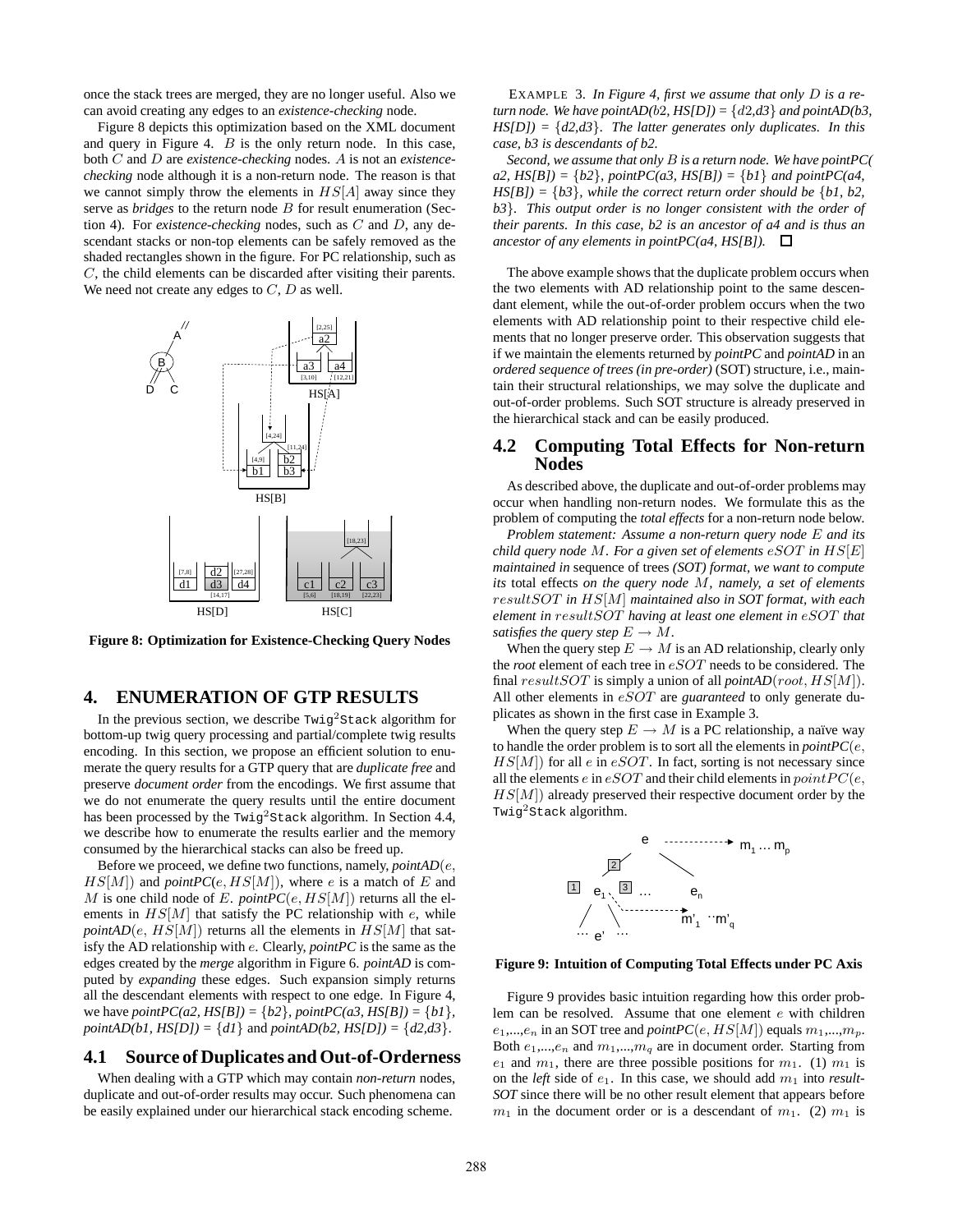once the stack trees are merged, they are no longer useful. Also we can avoid creating any edges to an *existence-checking* node.

Figure 8 depicts this optimization based on the XML document and query in Figure 4.  $B$  is the only return node. In this case, both C and D are *existence-checking* nodes. A is not an *existencechecking* node although it is a non-return node. The reason is that we cannot simply throw the elements in  $HS[A]$  away since they serve as *bridges* to the return node B for result enumeration (Section 4). For *existence-checking* nodes, such as C and D, any descendant stacks or non-top elements can be safely removed as the shaded rectangles shown in the figure. For PC relationship, such as C, the child elements can be discarded after visiting their parents. We need not create any edges to  $C, D$  as well.



**Figure 8: Optimization for Existence-Checking Query Nodes**

### **4. ENUMERATION OF GTP RESULTS**

In the previous section, we describe  $Twig<sup>2</sup>Stack algorithm for$ bottom-up twig query processing and partial/complete twig results encoding. In this section, we propose an efficient solution to enumerate the query results for a GTP query that are *duplicate free* and preserve *document order* from the encodings. We first assume that we do not enumerate the query results until the entire document has been processed by the  $Twig<sup>2</sup>Stack algorithm. In Section 4.4,$ we describe how to enumerate the results earlier and the memory consumed by the hierarchical stacks can also be freed up.

Before we proceed, we define two functions, namely, *pointAD*(e,  $HS[M]$ ) and *pointPC*(e,  $HS[M]$ ), where e is a match of E and M is one child node of E. *pointPC*( $e$ ,  $HS[M]$ ) returns all the elements in  $HS[M]$  that satisfy the PC relationship with  $e$ , while *pointAD*(*e*,  $HS[M]$ ) returns all the elements in  $HS[M]$  that satisfy the AD relationship with e. Clearly, *pointPC* is the same as the edges created by the *merge* algorithm in Figure 6. *pointAD* is computed by *expanding* these edges. Such expansion simply returns all the descendant elements with respect to one edge. In Figure 4, we have  $pointPC(a2, HS[B]) = \{b2\}$ ,  $pointPC(a3, HS[B]) = \{b1\}$ , *pointAD(b1, HS[D])* = {*d1*} and *pointAD(b2, HS[D])* = {*d2,d3*}.

### **4.1 Source of Duplicates and Out-of-Orderness**

When dealing with a GTP which may contain *non-return* nodes, duplicate and out-of-order results may occur. Such phenomena can be easily explained under our hierarchical stack encoding scheme.

EXAMPLE 3. *In Figure 4, first we assume that only* D *is a return node. We have pointAD(b2, HS[D])* =  $\{d2, d3\}$  *and pointAD(b3, HS[D]) =* {*d2,d3*}*. The latter generates only duplicates. In this case, b3 is descendants of b2.*

*Second, we assume that only* B *is a return node. We have pointPC( a2,*  $HS[B] = \{b2\}$ ,  $pointPC(a3, HS[B]) = \{b1\}$  *and pointPC(a4, HS[B]) =* {*b3*}*, while the correct return order should be* {*b1, b2, b3*}*. This output order is no longer consistent with the order of their parents. In this case, b2 is an ancestor of a4 and is thus an ancestor of any elements in pointPC(a4, HS[B]).*  $\Box$ 

The above example shows that the duplicate problem occurs when the two elements with AD relationship point to the same descendant element, while the out-of-order problem occurs when the two elements with AD relationship point to their respective child elements that no longer preserve order. This observation suggests that if we maintain the elements returned by *pointPC* and *pointAD* in an *ordered sequence of trees (in pre-order)* (SOT) structure, i.e., maintain their structural relationships, we may solve the duplicate and out-of-order problems. Such SOT structure is already preserved in the hierarchical stack and can be easily produced.

### **4.2 Computing Total Effects for Non-return Nodes**

As described above, the duplicate and out-of-order problems may occur when handling non-return nodes. We formulate this as the problem of computing the *total effects* for a non-return node below.

*Problem statement: Assume a non-return query node* E *and its child query node* M*. For a given set of elements* eSOT *in* HS[E] *maintained in* sequence of trees *(SOT) format, we want to compute its* total effects *on the query node* M*, namely, a set of elements* resultSOT *in* HS[M] *maintained also in SOT format, with each element in* resultSOT *having at least one element in* eSOT *that satisfies the query step*  $E \to M$ .

When the query step  $E \to M$  is an AD relationship, clearly only the *root* element of each tree in  $eSOT$  needs to be considered. The final  $resultSOT$  is simply a union of all  $pointAD(root, HS[M])$ . All other elements in eSOT are *guaranteed* to only generate duplicates as shown in the first case in Example 3.

When the query step  $E \to M$  is a PC relationship, a naïve way to handle the order problem is to sort all the elements in  $pointPC(e,$  $HS[M]$ ) for all e in eSOT. In fact, sorting is not necessary since all the elements  $e$  in  $eSOT$  and their child elements in  $pointPC(e,$  $HS[M]$ ) already preserved their respective document order by the Twig2Stack algorithm.



#### **Figure 9: Intuition of Computing Total Effects under PC Axis**

Figure 9 provides basic intuition regarding how this order problem can be resolved. Assume that one element e with children  $e_1,...,e_n$  in an SOT tree and *pointPC*(*e*, HS[M]) equals  $m_1,...,m_p$ . Both  $e_1,...,e_n$  and  $m_1,...,m_q$  are in document order. Starting from  $e_1$  and  $m_1$ , there are three possible positions for  $m_1$ . (1)  $m_1$  is on the *left* side of  $e_1$ . In this case, we should add  $m_1$  into *result-SOT* since there will be no other result element that appears before  $m_1$  in the document order or is a descendant of  $m_1$ . (2)  $m_1$  is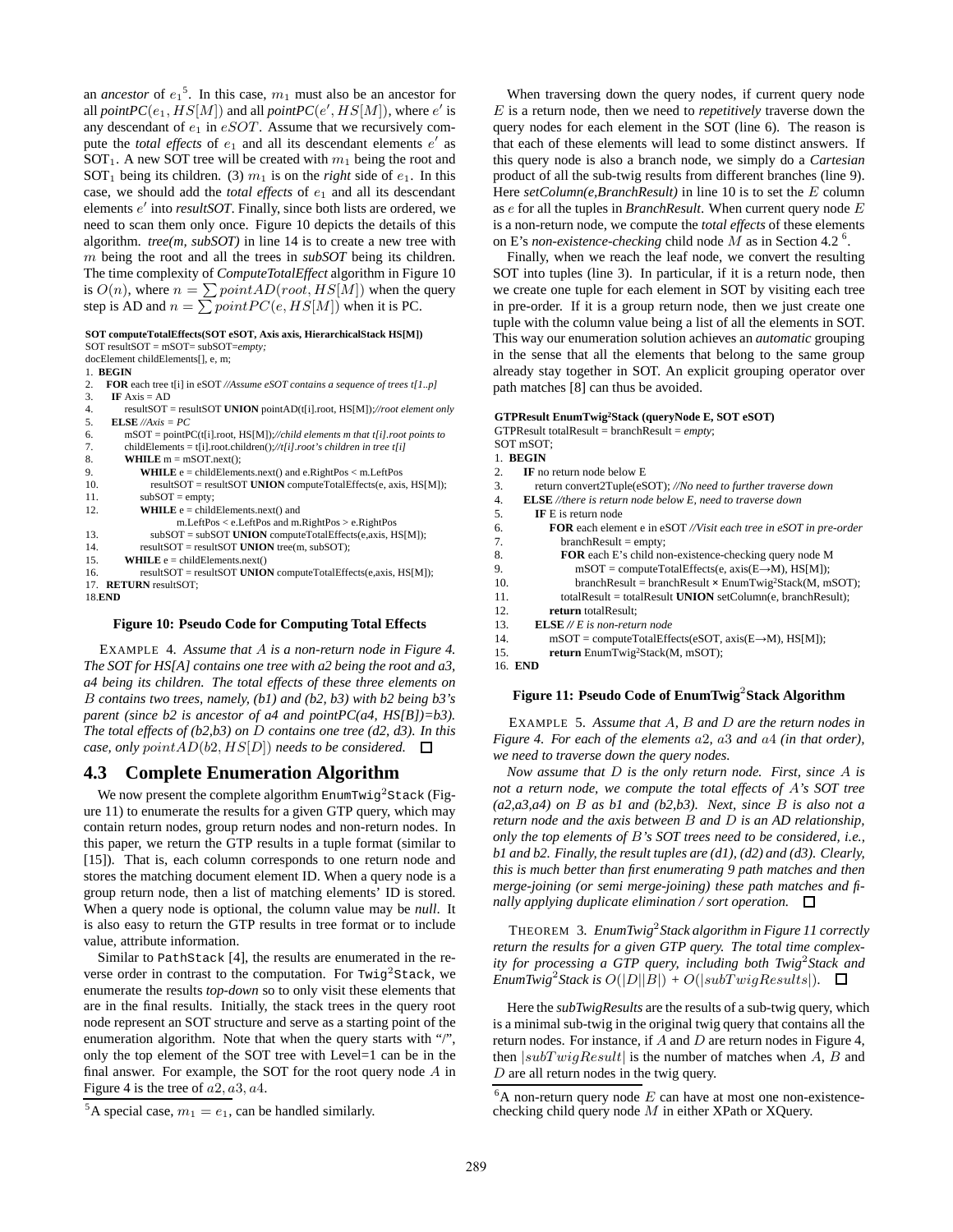an *ancestor* of  $e_1^5$ . In this case,  $m_1$  must also be an ancestor for all *pointPC*( $e_1$ ,  $HS[M]$ ) and all *pointPC*( $e'$ ,  $HS[M]$ ), where  $e'$  is any descendant of  $e_1$  in  $eSOT$ . Assume that we recursively compute the *total effects* of  $e_1$  and all its descendant elements  $e'$  as SOT<sub>1</sub>. A new SOT tree will be created with  $m_1$  being the root and SOT<sub>1</sub> being its children. (3)  $m_1$  is on the *right* side of  $e_1$ . In this case, we should add the *total effects* of  $e_1$  and all its descendant elements e' into *resultSOT*. Finally, since both lists are ordered, we need to scan them only once. Figure 10 depicts the details of this algorithm. *tree(m, subSOT)* in line 14 is to create a new tree with m being the root and all the trees in *subSOT* being its children. The time complexity of *ComputeTotalEffect* algorithm in Figure 10 is  $O(n)$ , where  $n = \sum point AD(root, HS[M])$  when the query step is AD and  $n = \sum point PC(e, HS[M])$  when it is PC.

#### **SOT computeTotalEffects(SOT eSOT, Axis axis, HierarchicalStack HS[M])** SOT resultSOT = mSOT= subSOT=*empty;*

| $301$ results $01  11501  500301  500y$ ,                                                |
|------------------------------------------------------------------------------------------|
| docElement childElements[], e, m;                                                        |
| 1. BEGIN                                                                                 |
| <b>FOR</b> each tree t[i] in eSOT //Assume eSOT contains a sequence of trees t[1p]<br>2. |
| <b>IF</b> $Axis = AD$<br>3.                                                              |
| resultSOT = resultSOT UNION pointAD(t[i].root, $HS[M]$ );//root element only<br>4.       |
| 5.<br><b>ELSE</b> //Axis = $PC$                                                          |
| $mSOT = pointPC(t[i].root, HS[M])$ ://child elements m that t[i].root points to<br>6.    |
| 7.<br>childElements = $t[i]$ .root.children()://t[i].root's children in tree t[i]        |
| 8.<br><b>WHILE</b> $m = mSOT.next()$ ;                                                   |
| 9.<br><b>WHILE</b> $e = \text{childElements.next}()$ and $e$ . RightPos $\lt$ m. LeftPos |
| $resultSOT = resultSOT$ UNION compute Total Effects (e, axis, $HS[M]$ );<br>10.          |
| 11.<br>$subSOT = empty;$                                                                 |
| 12.<br><b>WHILE</b> $e = \text{childElements.next}()$ and                                |
| $m.LeftPos < e.LeftPos$ and $m.RightPos > e.RightPos$                                    |
| 13.<br>$subSOT = subSOT$ UNION compute Total Effects (e, axis, HS[M]);                   |
| $resultSOT = resultSOT$ UNION tree(m, subSOT);<br>14.                                    |
| 15.<br><b>WHILE</b> $e = \text{childElements.next()}$                                    |
| $resultSOT = resultSOT$ UNION compute Total Effects (e, axis, HS[M]);<br>16.             |
| 17. RETURN resultSOT;                                                                    |
| <b>18.END</b>                                                                            |

#### **Figure 10: Pseudo Code for Computing Total Effects**

EXAMPLE 4. *Assume that* A *is a non-return node in Figure 4. The SOT for HS[A] contains one tree with a2 being the root and a3, a4 being its children. The total effects of these three elements on* B *contains two trees, namely, (b1) and (b2, b3) with b2 being b3's parent (since b2 is ancestor of a4 and pointPC(a4, HS[B])=b3). The total effects of (b2,b3) on* D *contains one tree (d2, d3). In this case, only point AD*(*b*2, *HS*[*D*]) *needs to be considered.*  $\Box$ 

### **4.3 Complete Enumeration Algorithm**

We now present the complete algorithm  $\text{EnumTwig}^2\text{Stack}$  (Figure 11) to enumerate the results for a given GTP query, which may contain return nodes, group return nodes and non-return nodes. In this paper, we return the GTP results in a tuple format (similar to [15]). That is, each column corresponds to one return node and stores the matching document element ID. When a query node is a group return node, then a list of matching elements' ID is stored. When a query node is optional, the column value may be *null*. It is also easy to return the GTP results in tree format or to include value, attribute information.

Similar to PathStack [4], the results are enumerated in the reverse order in contrast to the computation. For Twig<sup>2</sup>Stack, we enumerate the results *top-down* so to only visit these elements that are in the final results. Initially, the stack trees in the query root node represent an SOT structure and serve as a starting point of the enumeration algorithm. Note that when the query starts with "/", only the top element of the SOT tree with Level=1 can be in the final answer. For example, the SOT for the root query node  $A$  in Figure 4 is the tree of  $a2$ ,  $a3$ ,  $a4$ .

When traversing down the query nodes, if current query node E is a return node, then we need to *repetitively* traverse down the query nodes for each element in the SOT (line 6). The reason is that each of these elements will lead to some distinct answers. If this query node is also a branch node, we simply do a *Cartesian* product of all the sub-twig results from different branches (line 9). Here  $setColumn(e, BranchResult)$  in line 10 is to set the E column as e for all the tuples in *BranchResult*. When current query node E is a non-return node, we compute the *total effects* of these elements on E's *non-existence-checking* child node  $M$  as in Section 4.2<sup>6</sup>.

Finally, when we reach the leaf node, we convert the resulting SOT into tuples (line 3). In particular, if it is a return node, then we create one tuple for each element in SOT by visiting each tree in pre-order. If it is a group return node, then we just create one tuple with the column value being a list of all the elements in SOT. This way our enumeration solution achieves an *automatic* grouping in the sense that all the elements that belong to the same group already stay together in SOT. An explicit grouping operator over path matches [8] can thus be avoided.

|     | GTPResult EnumTwig <sup>2</sup> Stack (queryNode E, SOT eSOT)            |
|-----|--------------------------------------------------------------------------|
|     | GTPResult totalResult = branchResult = $empty;$                          |
|     | SOT mSOT:                                                                |
|     | 1. BEGIN                                                                 |
| 2.  | <b>IF</b> no return node below E                                         |
| 3.  | return convert2Tuple(eSOT); //No need to further traverse down           |
| 4.  | <b>ELSE</b> //there is return node below E, need to traverse down        |
| 5.  | <b>IF</b> E is return node                                               |
| 6.  | <b>FOR</b> each element e in eSOT //Visit each tree in eSOT in pre-order |
| 7.  | $branchResult = empty;$                                                  |
| 8.  | <b>FOR</b> each E's child non-existence-checking query node M            |
| 9.  | $mSOT = computeTotalEffects(e, axis(E \rightarrow M), HS[M])$ ;          |
| 10. | $branchResult = branchResult \times EnumTwig2Stack(M, mSOT);$            |
| 11. | $totalResult = totalResult$ UNION setColumn(e, branchResult);            |
| 12. | return totalResult:                                                      |
| 13. | $ELSE \# E$ is non-return node                                           |
| 14. | $mSOT = computeTotalEffects(eSOT, axis(E \rightarrow M), HS[M])$ ;       |
| 15. | return EnumTwig <sup>2</sup> Stack(M, mSOT);                             |
| 16  | <b>END</b>                                                               |

# **Figure 11: Pseudo Code of EnumTwig**<sup>2</sup> **Stack Algorithm**

EXAMPLE 5. *Assume that* A*,* B *and* D *are the return nodes in Figure 4. For each of the elements* a2*,* a3 *and* a4 *(in that order), we need to traverse down the query nodes.*

*Now assume that* D *is the only return node. First, since* A *is not a return node, we compute the total effects of* A*'s SOT tree (a2,a3,a4) on* B *as b1 and (b2,b3). Next, since* B *is also not a return node and the axis between* B *and* D *is an AD relationship, only the top elements of* B*'s SOT trees need to be considered, i.e., b1 and b2. Finally, the result tuples are (d1), (d2) and (d3). Clearly, this is much better than first enumerating 9 path matches and then merge-joining (or semi merge-joining) these path matches and finally applying duplicate elimination / sort operation.*

THEOREM 3. *EnumTwig*<sup>2</sup> *Stack algorithm in Figure 11 correctly return the results for a given GTP query. The total time complex*ity for processing a GTP query, including both Twig<sup>2</sup>Stack and  $\overline{\text{EnumTwig}^2}$  Stack is  $O(|D||B|) + O(|subTwigResults|)$ .

Here the *subTwigResults* are the results of a sub-twig query, which is a minimal sub-twig in the original twig query that contains all the return nodes. For instance, if A and D are return nodes in Figure 4, then  $|subTwigResult|$  is the number of matches when A, B and D are all return nodes in the twig query.

<sup>&</sup>lt;sup>5</sup>A special case,  $m_1 = e_1$ , can be handled similarly.

 $6A$  non-return query node E can have at most one non-existencechecking child query node M in either XPath or XQuery.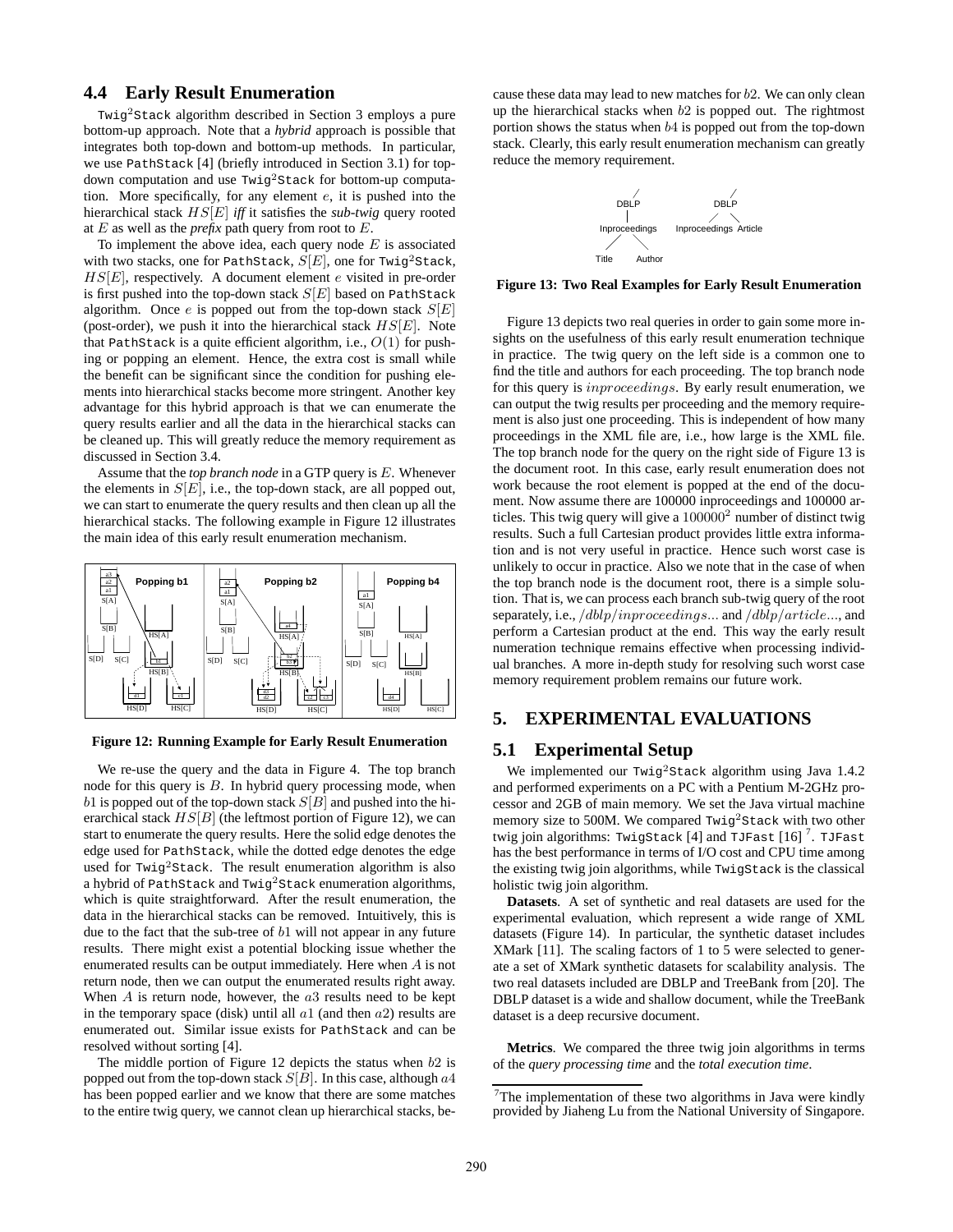# **4.4 Early Result Enumeration**

Twig<sup>2</sup>Stack algorithm described in Section 3 employs a pure bottom-up approach. Note that a *hybrid* approach is possible that integrates both top-down and bottom-up methods. In particular, we use PathStack [4] (briefly introduced in Section 3.1) for topdown computation and use Twig2Stack for bottom-up computation. More specifically, for any element e, it is pushed into the hierarchical stack HS[E] *iff* it satisfies the *sub-twig* query rooted at  $E$  as well as the *prefix* path query from root to  $E$ .

To implement the above idea, each query node  $E$  is associated with two stacks, one for PathStack,  $S[E]$ , one for Twig<sup>2</sup>Stack,  $H[S]E$ , respectively. A document element e visited in pre-order is first pushed into the top-down stack  $S[E]$  based on PathStack algorithm. Once e is popped out from the top-down stack  $S[E]$ (post-order), we push it into the hierarchical stack  $HS[E]$ . Note that PathStack is a quite efficient algorithm, i.e.,  $O(1)$  for pushing or popping an element. Hence, the extra cost is small while the benefit can be significant since the condition for pushing elements into hierarchical stacks become more stringent. Another key advantage for this hybrid approach is that we can enumerate the query results earlier and all the data in the hierarchical stacks can be cleaned up. This will greatly reduce the memory requirement as discussed in Section 3.4.

Assume that the *top branch node* in a GTP query is E. Whenever the elements in  $S[E]$ , i.e., the top-down stack, are all popped out, we can start to enumerate the query results and then clean up all the hierarchical stacks. The following example in Figure 12 illustrates the main idea of this early result enumeration mechanism.



**Figure 12: Running Example for Early Result Enumeration**

We re-use the query and the data in Figure 4. The top branch node for this query is  $B$ . In hybrid query processing mode, when b1 is popped out of the top-down stack  $S[B]$  and pushed into the hierarchical stack  $HS[B]$  (the leftmost portion of Figure 12), we can start to enumerate the query results. Here the solid edge denotes the edge used for PathStack, while the dotted edge denotes the edge used for  $Twig<sup>2</sup>Stack$ . The result enumeration algorithm is also a hybrid of PathStack and Twig<sup>2</sup>Stack enumeration algorithms, which is quite straightforward. After the result enumeration, the data in the hierarchical stacks can be removed. Intuitively, this is due to the fact that the sub-tree of  $b1$  will not appear in any future results. There might exist a potential blocking issue whether the enumerated results can be output immediately. Here when A is not return node, then we can output the enumerated results right away. When  $A$  is return node, however, the  $a3$  results need to be kept in the temporary space (disk) until all  $a1$  (and then  $a2$ ) results are enumerated out. Similar issue exists for PathStack and can be resolved without sorting [4].

The middle portion of Figure 12 depicts the status when  $b2$  is popped out from the top-down stack  $S[B]$ . In this case, although  $a4$ has been popped earlier and we know that there are some matches to the entire twig query, we cannot clean up hierarchical stacks, because these data may lead to new matches for b2. We can only clean up the hierarchical stacks when  $b2$  is popped out. The rightmost portion shows the status when b4 is popped out from the top-down stack. Clearly, this early result enumeration mechanism can greatly reduce the memory requirement.



**Figure 13: Two Real Examples for Early Result Enumeration**

Figure 13 depicts two real queries in order to gain some more insights on the usefulness of this early result enumeration technique in practice. The twig query on the left side is a common one to find the title and authors for each proceeding. The top branch node for this query is inproceedings. By early result enumeration, we can output the twig results per proceeding and the memory requirement is also just one proceeding. This is independent of how many proceedings in the XML file are, i.e., how large is the XML file. The top branch node for the query on the right side of Figure 13 is the document root. In this case, early result enumeration does not work because the root element is popped at the end of the document. Now assume there are 100000 inproceedings and 100000 articles. This twig query will give a  $100000<sup>2</sup>$  number of distinct twig results. Such a full Cartesian product provides little extra information and is not very useful in practice. Hence such worst case is unlikely to occur in practice. Also we note that in the case of when the top branch node is the document root, there is a simple solution. That is, we can process each branch sub-twig query of the root separately, i.e., /dblp/inproceedings... and /dblp/article..., and perform a Cartesian product at the end. This way the early result numeration technique remains effective when processing individual branches. A more in-depth study for resolving such worst case memory requirement problem remains our future work.

# **5. EXPERIMENTAL EVALUATIONS**

# **5.1 Experimental Setup**

We implemented our Twig<sup>2</sup>Stack algorithm using Java 1.4.2 and performed experiments on a PC with a Pentium M-2GHz processor and 2GB of main memory. We set the Java virtual machine memory size to 500M. We compared Twig<sup>2</sup>Stack with two other twig join algorithms: TwigStack [4] and TJFast [16]  $^7$ . TJFast has the best performance in terms of I/O cost and CPU time among the existing twig join algorithms, while TwigStack is the classical holistic twig join algorithm.

**Datasets**. A set of synthetic and real datasets are used for the experimental evaluation, which represent a wide range of XML datasets (Figure 14). In particular, the synthetic dataset includes XMark [11]. The scaling factors of 1 to 5 were selected to generate a set of XMark synthetic datasets for scalability analysis. The two real datasets included are DBLP and TreeBank from [20]. The DBLP dataset is a wide and shallow document, while the TreeBank dataset is a deep recursive document.

**Metrics**. We compared the three twig join algorithms in terms of the *query processing time* and the *total execution time*.

 $7$ The implementation of these two algorithms in Java were kindly provided by Jiaheng Lu from the National University of Singapore.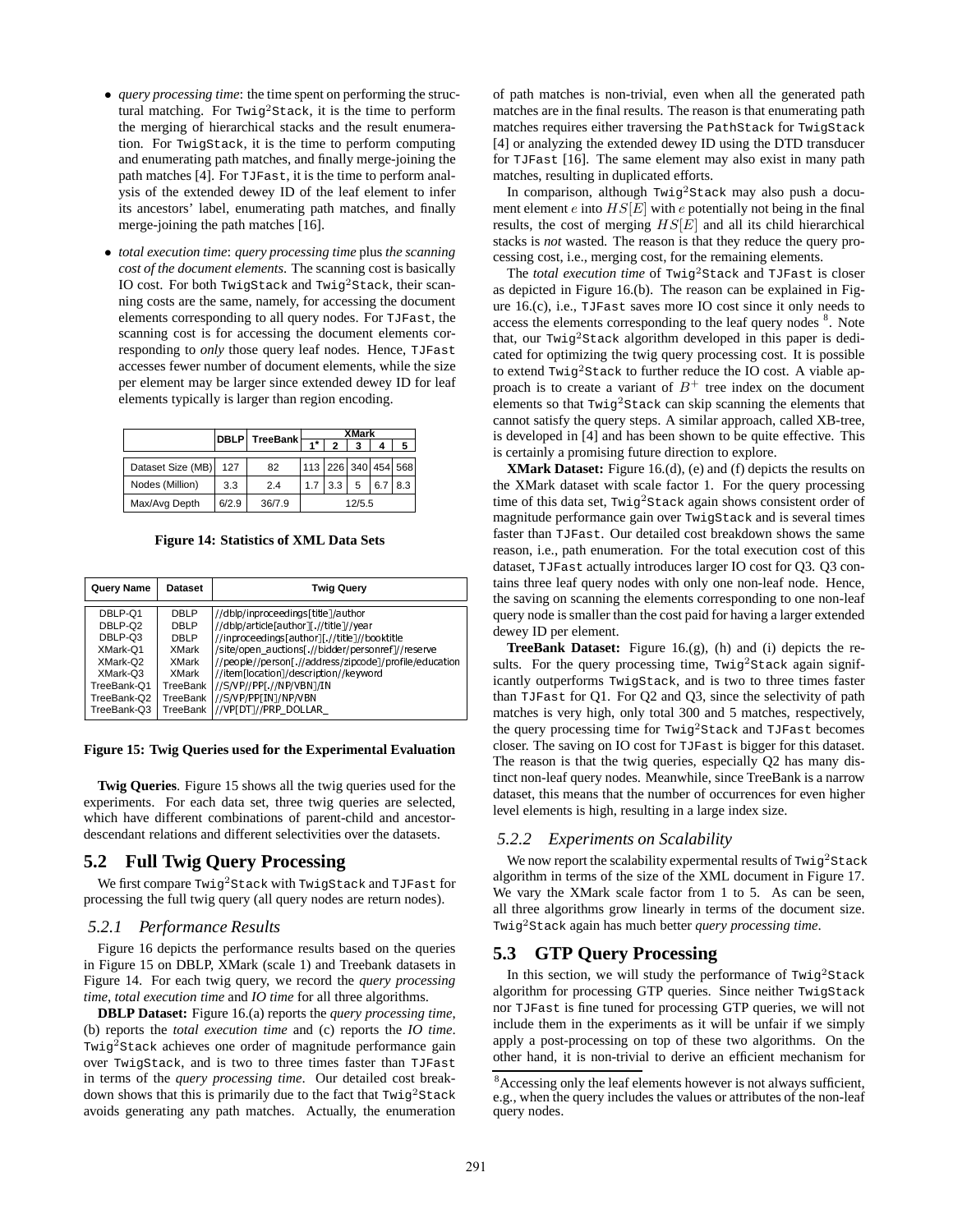- *query processing time*: the time spent on performing the structural matching. For  $Twig<sup>2</sup>Stack$ , it is the time to perform the merging of hierarchical stacks and the result enumeration. For TwigStack, it is the time to perform computing and enumerating path matches, and finally merge-joining the path matches [4]. For TJFast, it is the time to perform analysis of the extended dewey ID of the leaf element to infer its ancestors' label, enumerating path matches, and finally merge-joining the path matches [16].
- *total execution time*: *query processing time* plus *the scanning cost of the document elements*. The scanning cost is basically IO cost. For both TwigStack and Twig<sup>2</sup>Stack, their scanning costs are the same, namely, for accessing the document elements corresponding to all query nodes. For TJFast, the scanning cost is for accessing the document elements corresponding to *only* those query leaf nodes. Hence, TJFast accesses fewer number of document elements, while the size per element may be larger since extended dewey ID for leaf elements typically is larger than region encoding.

|                   |       | DBLP TreeBank | XMark               |     |   |     |     |
|-------------------|-------|---------------|---------------------|-----|---|-----|-----|
|                   |       |               |                     |     | 3 |     | 5   |
|                   |       |               |                     |     |   |     |     |
| Dataset Size (MB) | 127   | 82            | 113 226 340 454 568 |     |   |     |     |
| Nodes (Million)   | 3.3   | 2.4           | 1.7                 | 3.3 | 5 | 6.7 | 8.3 |
| Max/Avg Depth     | 6/2.9 | 36/7.9        | 12/5.5              |     |   |     |     |

**Figure 14: Statistics of XML Data Sets**

| Query Name  | <b>Dataset</b> | <b>Twig Query</b>                                      |
|-------------|----------------|--------------------------------------------------------|
| DBLP-Q1     | <b>DBLP</b>    | //dblp/inproceedings[title]/author                     |
| DBLP-Q2     | <b>DBLP</b>    | //dblp/article[author][ //title]//year                 |
| DBLP-Q3     | DBLP           | //inproceedings[author][ //title]//booktitle           |
| XMark-Q1    | XMark          | /site/open auctions[ //bidder/personref]//reserve      |
| XMark-Q2    | XMark          | //people//person[ //address/zipcode]/profile/education |
| XMark-Q3    | XMark          | //item[location]/description//keyword                  |
| TreeBank-Q1 | TreeBank       | //S/VP//PP[ //NP/VBN]/IN                               |
| TreeBank-Q2 | TreeBank       | //S/VP/PP[IN]/NP/VBN                                   |
| TreeBank-Q3 | TreeBank       | //VP[DT]//PRP DOLLAR                                   |

#### **Figure 15: Twig Queries used for the Experimental Evaluation**

**Twig Queries**. Figure 15 shows all the twig queries used for the experiments. For each data set, three twig queries are selected, which have different combinations of parent-child and ancestordescendant relations and different selectivities over the datasets.

### **5.2 Full Twig Query Processing**

We first compare Twig<sup>2</sup>Stack with TwigStack and TJFast for processing the full twig query (all query nodes are return nodes).

#### *5.2.1 Performance Results*

Figure 16 depicts the performance results based on the queries in Figure 15 on DBLP, XMark (scale 1) and Treebank datasets in Figure 14. For each twig query, we record the *query processing time*, *total execution time* and *IO time* for all three algorithms.

**DBLP Dataset:** Figure 16.(a) reports the *query processing time*, (b) reports the *total execution time* and (c) reports the *IO time*. Twig<sup>2</sup>Stack achieves one order of magnitude performance gain over TwigStack, and is two to three times faster than TJFast in terms of the *query processing time*. Our detailed cost breakdown shows that this is primarily due to the fact that  $Twig<sup>2</sup>Stack$ avoids generating any path matches. Actually, the enumeration

of path matches is non-trivial, even when all the generated path matches are in the final results. The reason is that enumerating path matches requires either traversing the PathStack for TwigStack [4] or analyzing the extended dewey ID using the DTD transducer for TJFast [16]. The same element may also exist in many path matches, resulting in duplicated efforts.

In comparison, although  $Twig<sup>2</sup>Stack$  may also push a document element  $e$  into  $HS[E]$  with  $e$  potentially not being in the final results, the cost of merging  $HS[E]$  and all its child hierarchical stacks is *not* wasted. The reason is that they reduce the query processing cost, i.e., merging cost, for the remaining elements.

The *total execution time* of Twig<sup>2</sup>Stack and TJFast is closer as depicted in Figure 16.(b). The reason can be explained in Figure 16.(c), i.e., TJFast saves more IO cost since it only needs to access the elements corresponding to the leaf query nodes  $8$ . Note that, our Twig<sup>2</sup>Stack algorithm developed in this paper is dedicated for optimizing the twig query processing cost. It is possible to extend Twig2Stack to further reduce the IO cost. A viable approach is to create a variant of  $B^+$  tree index on the document elements so that Twig2Stack can skip scanning the elements that cannot satisfy the query steps. A similar approach, called XB-tree, is developed in [4] and has been shown to be quite effective. This is certainly a promising future direction to explore.

**XMark Dataset:** Figure 16.(d), (e) and (f) depicts the results on the XMark dataset with scale factor 1. For the query processing time of this data set, Twig<sup>2</sup>Stack again shows consistent order of magnitude performance gain over TwigStack and is several times faster than TJFast. Our detailed cost breakdown shows the same reason, i.e., path enumeration. For the total execution cost of this dataset, TJFast actually introduces larger IO cost for Q3. Q3 contains three leaf query nodes with only one non-leaf node. Hence, the saving on scanning the elements corresponding to one non-leaf query node is smaller than the cost paid for having a larger extended dewey ID per element.

**TreeBank Dataset:** Figure 16.(g), (h) and (i) depicts the results. For the query processing time, Twig<sup>2</sup>Stack again significantly outperforms TwigStack, and is two to three times faster than TJFast for Q1. For Q2 and Q3, since the selectivity of path matches is very high, only total 300 and 5 matches, respectively, the query processing time for Twig2Stack and TJFast becomes closer. The saving on IO cost for TJFast is bigger for this dataset. The reason is that the twig queries, especially Q2 has many distinct non-leaf query nodes. Meanwhile, since TreeBank is a narrow dataset, this means that the number of occurrences for even higher level elements is high, resulting in a large index size.

### *5.2.2 Experiments on Scalability*

We now report the scalability expermental results of  $Twig<sup>2</sup>Stack$ algorithm in terms of the size of the XML document in Figure 17. We vary the XMark scale factor from 1 to 5. As can be seen, all three algorithms grow linearly in terms of the document size. Twig2Stack again has much better *query processing time*.

# **5.3 GTP Query Processing**

In this section, we will study the performance of  $Twig<sup>2</sup>Stack$ algorithm for processing GTP queries. Since neither TwigStack nor TJFast is fine tuned for processing GTP queries, we will not include them in the experiments as it will be unfair if we simply apply a post-processing on top of these two algorithms. On the other hand, it is non-trivial to derive an efficient mechanism for

<sup>&</sup>lt;sup>8</sup> Accessing only the leaf elements however is not always sufficient, e.g., when the query includes the values or attributes of the non-leaf query nodes.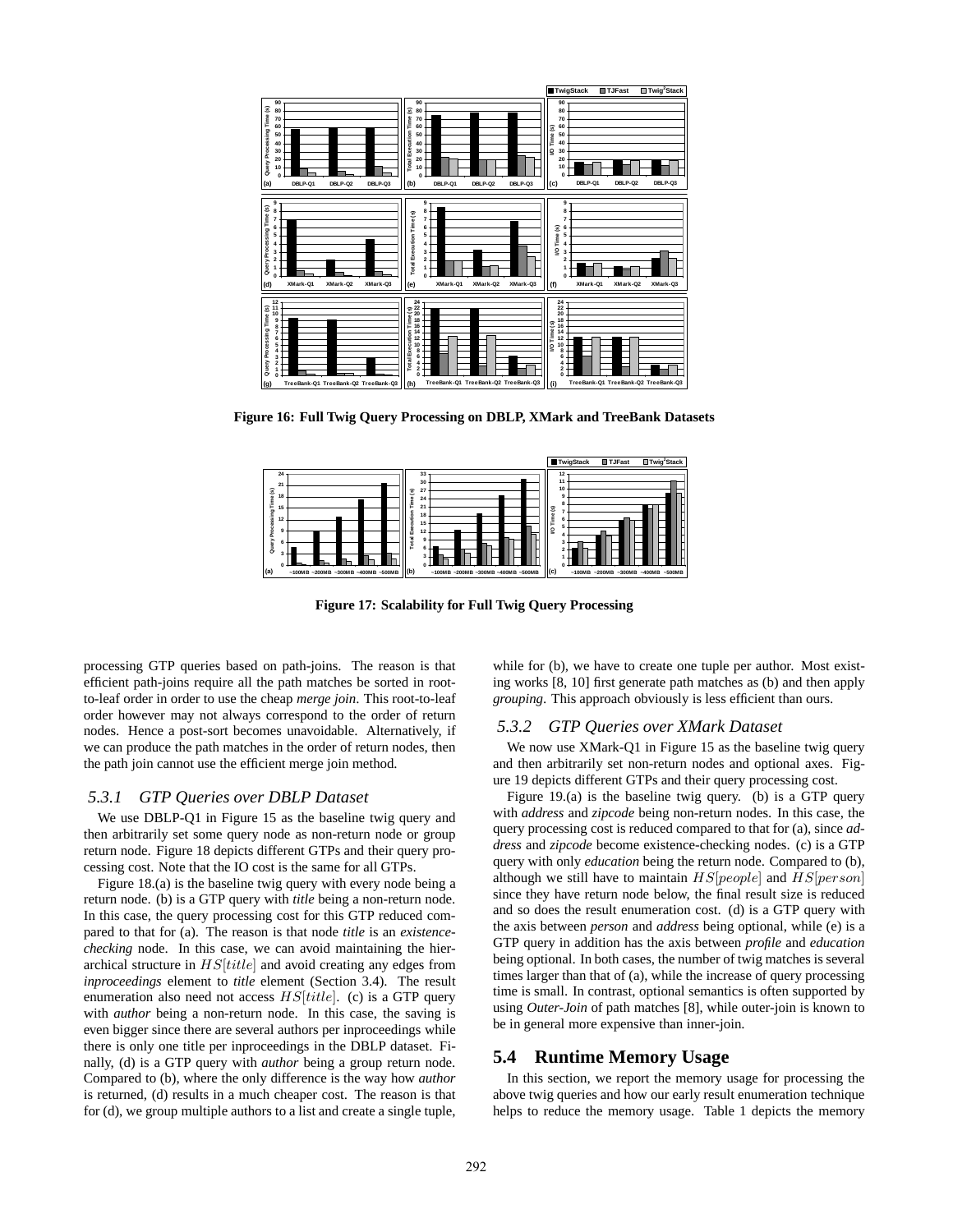

**Figure 16: Full Twig Query Processing on DBLP, XMark and TreeBank Datasets**



**Figure 17: Scalability for Full Twig Query Processing**

processing GTP queries based on path-joins. The reason is that efficient path-joins require all the path matches be sorted in rootto-leaf order in order to use the cheap *merge join*. This root-to-leaf order however may not always correspond to the order of return nodes. Hence a post-sort becomes unavoidable. Alternatively, if we can produce the path matches in the order of return nodes, then the path join cannot use the efficient merge join method.

### *5.3.1 GTP Queries over DBLP Dataset*

We use DBLP-Q1 in Figure 15 as the baseline twig query and then arbitrarily set some query node as non-return node or group return node. Figure 18 depicts different GTPs and their query processing cost. Note that the IO cost is the same for all GTPs.

Figure 18.(a) is the baseline twig query with every node being a return node. (b) is a GTP query with *title* being a non-return node. In this case, the query processing cost for this GTP reduced compared to that for (a). The reason is that node *title* is an *existencechecking* node. In this case, we can avoid maintaining the hierarchical structure in  $HS[title]$  and avoid creating any edges from *inproceedings* element to *title* element (Section 3.4). The result enumeration also need not access  $HS[title]$ . (c) is a GTP query with *author* being a non-return node. In this case, the saving is even bigger since there are several authors per inproceedings while there is only one title per inproceedings in the DBLP dataset. Finally, (d) is a GTP query with *author* being a group return node. Compared to (b), where the only difference is the way how *author* is returned, (d) results in a much cheaper cost. The reason is that for (d), we group multiple authors to a list and create a single tuple,

while for (b), we have to create one tuple per author. Most existing works [8, 10] first generate path matches as (b) and then apply *grouping*. This approach obviously is less efficient than ours.

### *5.3.2 GTP Queries over XMark Dataset*

We now use XMark-Q1 in Figure 15 as the baseline twig query and then arbitrarily set non-return nodes and optional axes. Figure 19 depicts different GTPs and their query processing cost.

Figure 19.(a) is the baseline twig query. (b) is a GTP query with *address* and *zipcode* being non-return nodes. In this case, the query processing cost is reduced compared to that for (a), since *address* and *zipcode* become existence-checking nodes. (c) is a GTP query with only *education* being the return node. Compared to (b), although we still have to maintain  $HS[people]$  and  $HS[person]$ since they have return node below, the final result size is reduced and so does the result enumeration cost. (d) is a GTP query with the axis between *person* and *address* being optional, while (e) is a GTP query in addition has the axis between *profile* and *education* being optional. In both cases, the number of twig matches is several times larger than that of (a), while the increase of query processing time is small. In contrast, optional semantics is often supported by using *Outer-Join* of path matches [8], while outer-join is known to be in general more expensive than inner-join.

#### **5.4 Runtime Memory Usage**

In this section, we report the memory usage for processing the above twig queries and how our early result enumeration technique helps to reduce the memory usage. Table 1 depicts the memory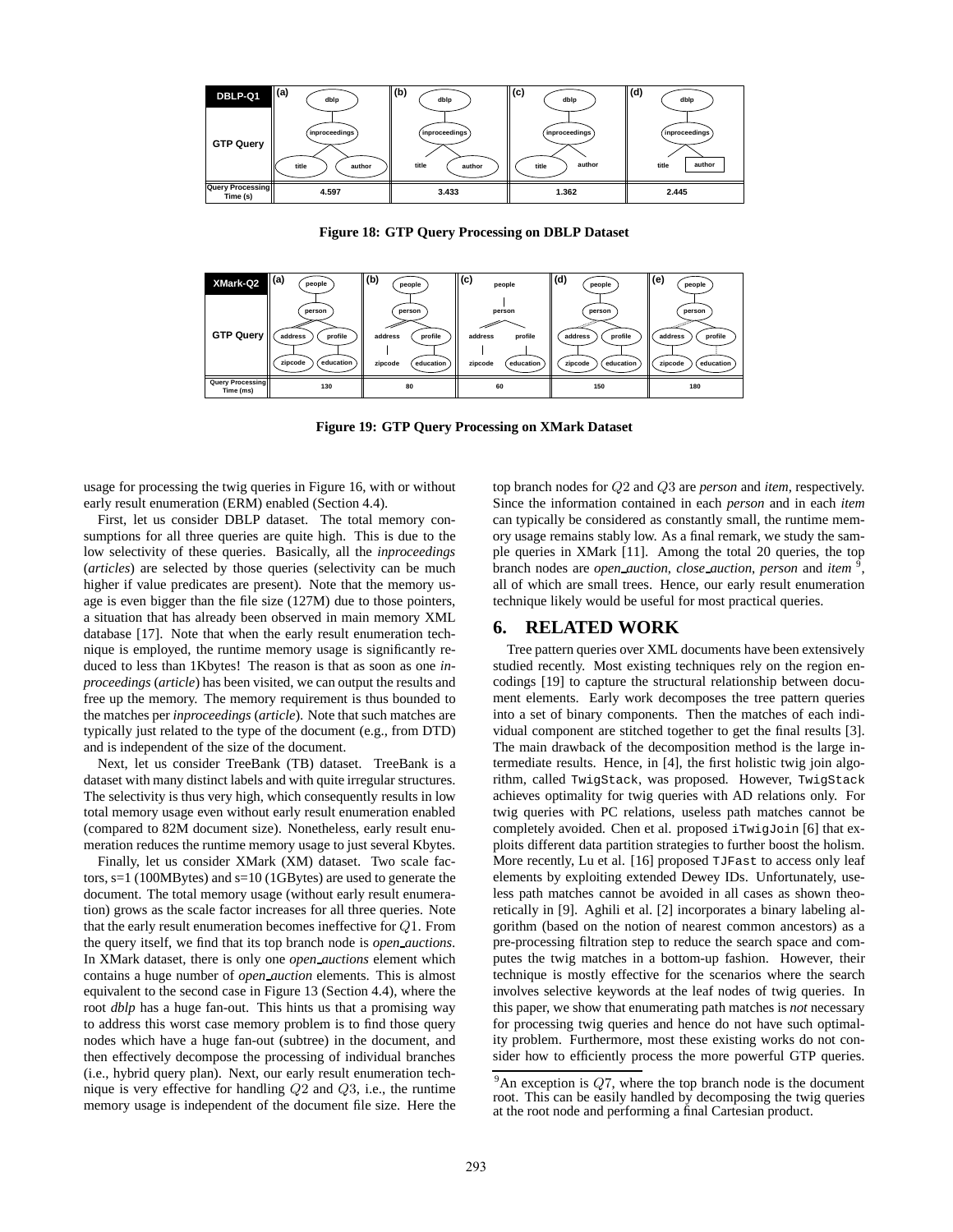

**Figure 18: GTP Query Processing on DBLP Dataset**



**Figure 19: GTP Query Processing on XMark Dataset**

usage for processing the twig queries in Figure 16, with or without early result enumeration (ERM) enabled (Section 4.4).

First, let us consider DBLP dataset. The total memory consumptions for all three queries are quite high. This is due to the low selectivity of these queries. Basically, all the *inproceedings* (*articles*) are selected by those queries (selectivity can be much higher if value predicates are present). Note that the memory usage is even bigger than the file size (127M) due to those pointers, a situation that has already been observed in main memory XML database [17]. Note that when the early result enumeration technique is employed, the runtime memory usage is significantly reduced to less than 1Kbytes! The reason is that as soon as one *inproceedings* (*article*) has been visited, we can output the results and free up the memory. The memory requirement is thus bounded to the matches per *inproceedings* (*article*). Note that such matches are typically just related to the type of the document (e.g., from DTD) and is independent of the size of the document.

Next, let us consider TreeBank (TB) dataset. TreeBank is a dataset with many distinct labels and with quite irregular structures. The selectivity is thus very high, which consequently results in low total memory usage even without early result enumeration enabled (compared to 82M document size). Nonetheless, early result enumeration reduces the runtime memory usage to just several Kbytes.

Finally, let us consider XMark (XM) dataset. Two scale factors, s=1 (100MBytes) and s=10 (1GBytes) are used to generate the document. The total memory usage (without early result enumeration) grows as the scale factor increases for all three queries. Note that the early result enumeration becomes ineffective for Q1. From the query itself, we find that its top branch node is *open auctions*. In XMark dataset, there is only one *open auctions* element which contains a huge number of *open auction* elements. This is almost equivalent to the second case in Figure 13 (Section 4.4), where the root *dblp* has a huge fan-out. This hints us that a promising way to address this worst case memory problem is to find those query nodes which have a huge fan-out (subtree) in the document, and then effectively decompose the processing of individual branches (i.e., hybrid query plan). Next, our early result enumeration technique is very effective for handling Q2 and Q3, i.e., the runtime memory usage is independent of the document file size. Here the top branch nodes for Q2 and Q3 are *person* and *item*, respectively. Since the information contained in each *person* and in each *item* can typically be considered as constantly small, the runtime memory usage remains stably low. As a final remark, we study the sample queries in XMark [11]. Among the total 20 queries, the top branch nodes are *open auction*, *close auction*, *person* and *item* <sup>9</sup> , all of which are small trees. Hence, our early result enumeration technique likely would be useful for most practical queries.

# **6. RELATED WORK**

Tree pattern queries over XML documents have been extensively studied recently. Most existing techniques rely on the region encodings [19] to capture the structural relationship between document elements. Early work decomposes the tree pattern queries into a set of binary components. Then the matches of each individual component are stitched together to get the final results [3]. The main drawback of the decomposition method is the large intermediate results. Hence, in [4], the first holistic twig join algorithm, called TwigStack, was proposed. However, TwigStack achieves optimality for twig queries with AD relations only. For twig queries with PC relations, useless path matches cannot be completely avoided. Chen et al. proposed iTwigJoin [6] that exploits different data partition strategies to further boost the holism. More recently, Lu et al. [16] proposed TJFast to access only leaf elements by exploiting extended Dewey IDs. Unfortunately, useless path matches cannot be avoided in all cases as shown theoretically in [9]. Aghili et al. [2] incorporates a binary labeling algorithm (based on the notion of nearest common ancestors) as a pre-processing filtration step to reduce the search space and computes the twig matches in a bottom-up fashion. However, their technique is mostly effective for the scenarios where the search involves selective keywords at the leaf nodes of twig queries. In this paper, we show that enumerating path matches is *not* necessary for processing twig queries and hence do not have such optimality problem. Furthermore, most these existing works do not consider how to efficiently process the more powerful GTP queries.

 $9^9$ An exception is  $Q7$ , where the top branch node is the document root. This can be easily handled by decomposing the twig queries at the root node and performing a final Cartesian product.